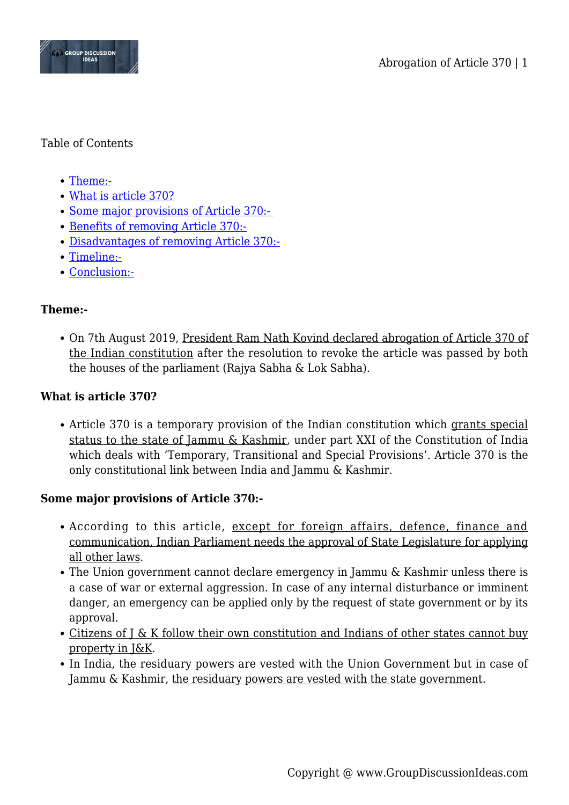

### Table of Contents

- [Theme:-](#page--1-0)
- [What is article 370?](#page--1-0)
- Some major provisions of Article 370:-
- [Benefits of removing Article 370:-](#page--1-0)
- [Disadvantages of removing Article 370:-](#page--1-0)
- [Timeline:-](#page--1-0)
- [Conclusion:-](#page--1-0)

### **Theme:-**

On 7th August 2019, President Ram Nath Kovind declared abrogation of Article 370 of the Indian constitution after the resolution to revoke the article was passed by both the houses of the parliament (Rajya Sabha & Lok Sabha).

## **What is article 370?**

Article 370 is a temporary provision of the Indian constitution which grants special status to the state of Jammu & Kashmir, under part XXI of the Constitution of India which deals with 'Temporary, Transitional and Special Provisions'. Article 370 is the only constitutional link between India and Jammu & Kashmir.

# **Some major provisions of Article 370:-**

- According to this article, except for foreign affairs, defence, finance and communication, Indian Parliament needs the approval of State Legislature for applying all other laws.
- The Union government cannot declare emergency in Jammu & Kashmir unless there is a case of war or external aggression. In case of any internal disturbance or imminent danger, an emergency can be applied only by the request of state government or by its approval.
- Citizens of J & K follow their own constitution and Indians of other states cannot buy property in J&K.
- In India, the residuary powers are vested with the Union Government but in case of Jammu & Kashmir, the residuary powers are vested with the state government.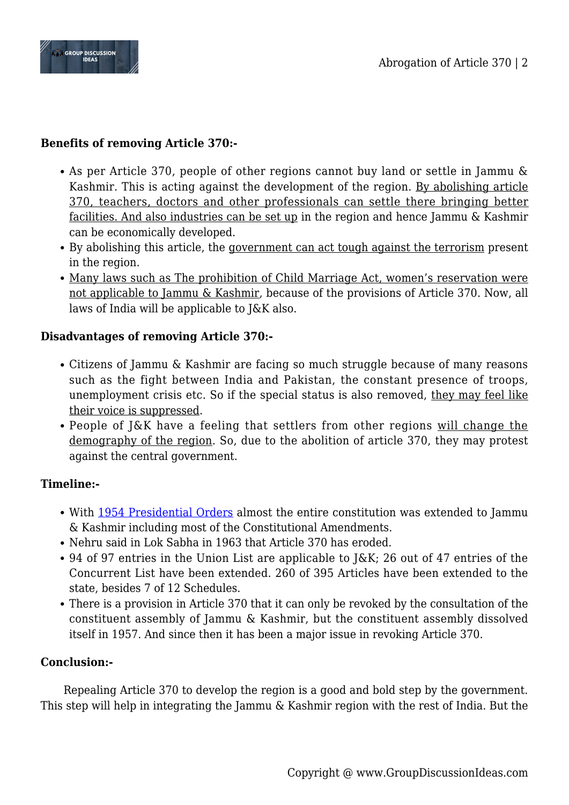

## **Benefits of removing Article 370:-**

- As per Article 370, people of other regions cannot buy land or settle in Jammu & Kashmir. This is acting against the development of the region. By abolishing article 370, teachers, doctors and other professionals can settle there bringing better facilities. And also industries can be set up in the region and hence Jammu & Kashmir can be economically developed.
- By abolishing this article, the government can act tough against the terrorism present in the region.
- Many laws such as The prohibition of Child Marriage Act, women's reservation were not applicable to Jammu & Kashmir, because of the provisions of Article 370. Now, all laws of India will be applicable to J&K also.

### **Disadvantages of removing Article 370:-**

- Citizens of Jammu & Kashmir are facing so much struggle because of many reasons such as the fight between India and Pakistan, the constant presence of troops, unemployment crisis etc. So if the special status is also removed, they may feel like their voice is suppressed.
- People of J&K have a feeling that settlers from other regions will change the demography of the region. So, due to the abolition of article 370, they may protest against the central government.

### **Timeline:-**

- With [1954 Presidential Orders](https://en.wikipedia.org/wiki/Article_370_of_the_Constitution_of_India#Presidential_order_of_1954) almost the entire constitution was extended to Jammu & Kashmir including most of the Constitutional Amendments.
- Nehru said in Lok Sabha in 1963 that Article 370 has eroded.
- 94 of 97 entries in the Union List are applicable to J&K; 26 out of 47 entries of the Concurrent List have been extended. 260 of 395 Articles have been extended to the state, besides 7 of 12 Schedules.
- There is a provision in Article 370 that it can only be revoked by the consultation of the constituent assembly of Jammu & Kashmir, but the constituent assembly dissolved itself in 1957. And since then it has been a major issue in revoking Article 370.

### **Conclusion:-**

Repealing Article 370 to develop the region is a good and bold step by the government. This step will help in integrating the Jammu & Kashmir region with the rest of India. But the